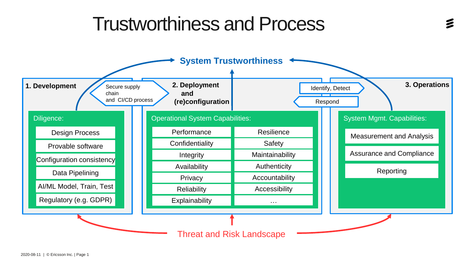### Trustworthiness and Process

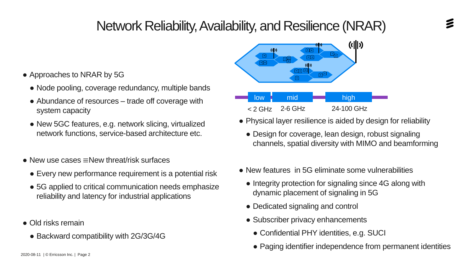#### Network Reliability, Availability, and Resilience (NRAR)

- Approaches to NRAR by 5G
	- Node pooling, coverage redundancy, multiple bands
	- Abundance of resources trade off coverage with system capacity
	- New 5GC features, e.g. network slicing, virtualized network functions, service-based architecture etc.
- New use cases ≡New threat/risk surfaces
	- Every new performance requirement is a potential risk
	- 5G applied to critical communication needs emphasize reliability and latency for industrial applications
- Old risks remain
	- Backward compatibility with 2G/3G/4G



< 2 GHz 2-6 GHz 24-100 GHz

- Physical layer resilience is aided by design for reliability
	- Design for coverage, lean design, robust signaling channels, spatial diversity with MIMO and beamforming
- New features in 5G eliminate some vulnerabilities
	- Integrity protection for signaling since 4G along with dynamic placement of signaling in 5G
	- Dedicated signaling and control
	- Subscriber privacy enhancements
		- Confidential PHY identities, e.g. SUCI
		- Paging identifier independence from permanent identities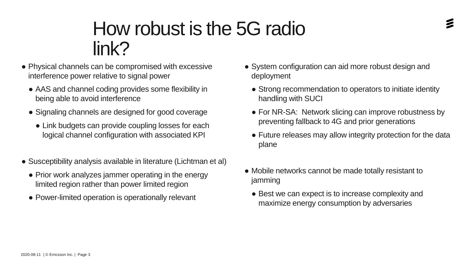# How robust is the 5G radio

• Physical channels can be compromised with excessive interference power relative to signal power

link?

- AAS and channel coding provides some flexibility in being able to avoid interference
- Signaling channels are designed for good coverage
	- Link budgets can provide coupling losses for each logical channel configuration with associated KPI
- Susceptibility analysis available in literature (Lichtman et al)
	- Prior work analyzes jammer operating in the energy limited region rather than power limited region
	- Power-limited operation is operationally relevant
- System configuration can aid more robust design and deployment
	- Strong recommendation to operators to initiate identity handling with SUCI
	- For NR-SA: Network slicing can improve robustness by preventing fallback to 4G and prior generations
	- Future releases may allow integrity protection for the data plane
- Mobile networks cannot be made totally resistant to jamming
	- Best we can expect is to increase complexity and maximize energy consumption by adversaries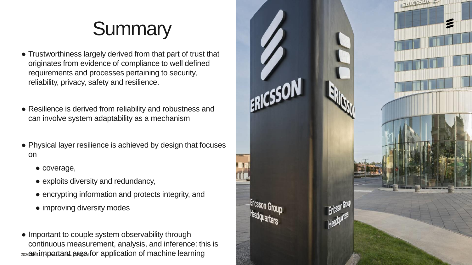### **Summary**

- Trustworthiness largely derived from that part of trust that originates from evidence of compliance to well defined requirements and processes pertaining to security, reliability, privacy, safety and resilience.
- Resilience is derived from reliability and robustness and can involve system adaptability as a mechanism
- Physical layer resilience is achieved by design that focuses on
	- coverage,
	- exploits diversity and redundancy,
	- encrypting information and protects integrity, and
	- improving diversity modes
- 2020 **an important area for application of machine learning** • Important to couple system observability through continuous measurement, analysis, and inference: this is

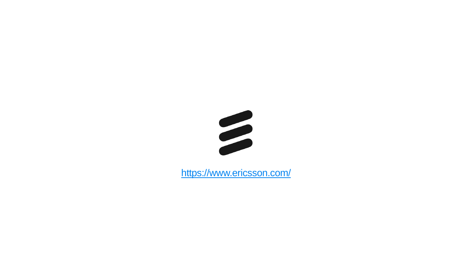

<https://www.ericsson.com/>